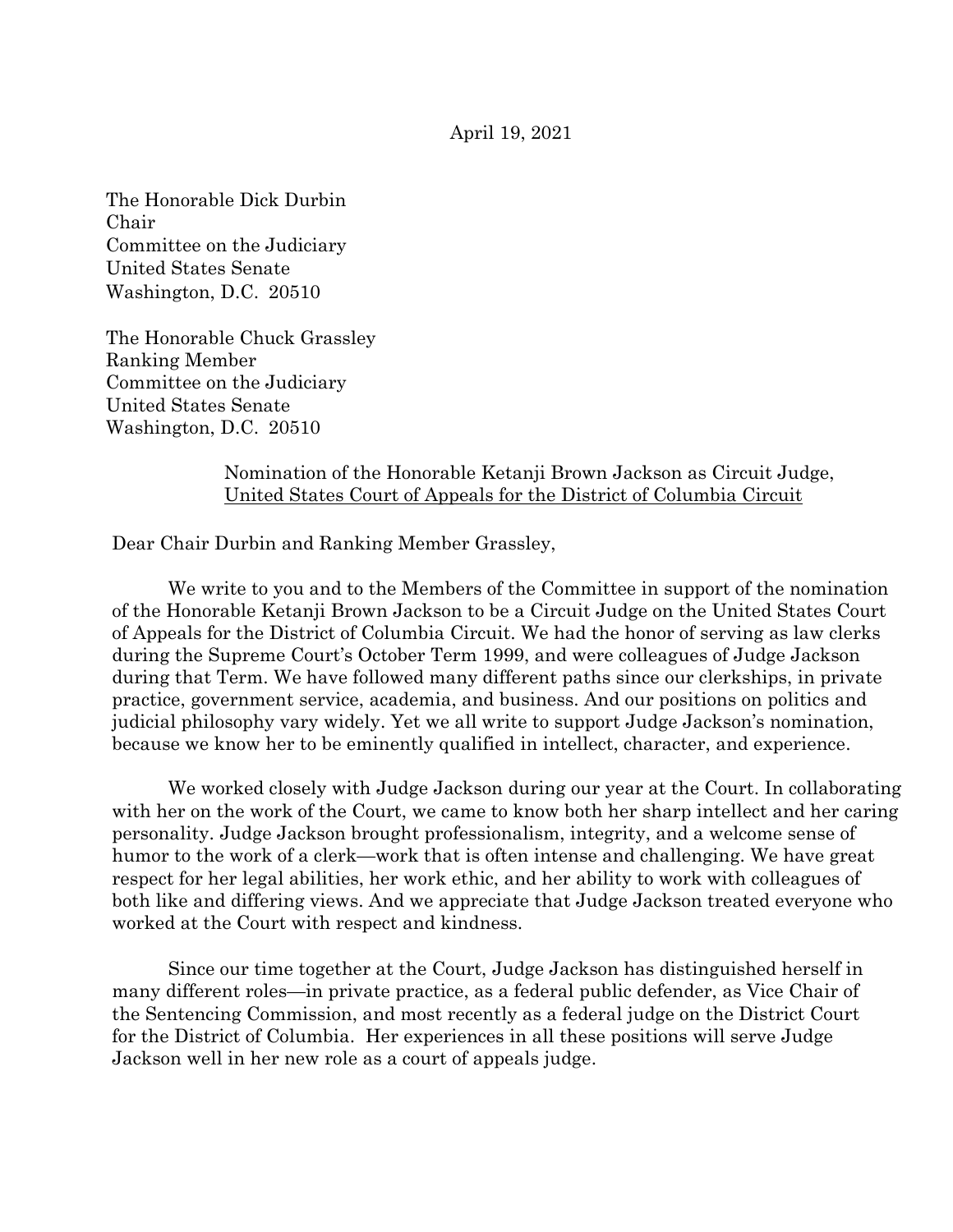April 19, 2021

The Honorable Dick Durbin Chair Committee on the Judiciary United States Senate Washington, D.C. 20510

The Honorable Chuck Grassley Ranking Member Committee on the Judiciary United States Senate Washington, D.C. 20510

> Nomination of the Honorable Ketanji Brown Jackson as Circuit Judge, United States Court of Appeals for the District of Columbia Circuit

Dear Chair Durbin and Ranking Member Grassley,

We write to you and to the Members of the Committee in support of the nomination of the Honorable Ketanji Brown Jackson to be a Circuit Judge on the United States Court of Appeals for the District of Columbia Circuit. We had the honor of serving as law clerks during the Supreme Court's October Term 1999, and were colleagues of Judge Jackson during that Term. We have followed many different paths since our clerkships, in private practice, government service, academia, and business. And our positions on politics and judicial philosophy vary widely. Yet we all write to support Judge Jackson's nomination, because we know her to be eminently qualified in intellect, character, and experience.

We worked closely with Judge Jackson during our year at the Court. In collaborating with her on the work of the Court, we came to know both her sharp intellect and her caring personality. Judge Jackson brought professionalism, integrity, and a welcome sense of humor to the work of a clerk—work that is often intense and challenging. We have great respect for her legal abilities, her work ethic, and her ability to work with colleagues of both like and differing views. And we appreciate that Judge Jackson treated everyone who worked at the Court with respect and kindness.

Since our time together at the Court, Judge Jackson has distinguished herself in many different roles—in private practice, as a federal public defender, as Vice Chair of the Sentencing Commission, and most recently as a federal judge on the District Court for the District of Columbia. Her experiences in all these positions will serve Judge Jackson well in her new role as a court of appeals judge.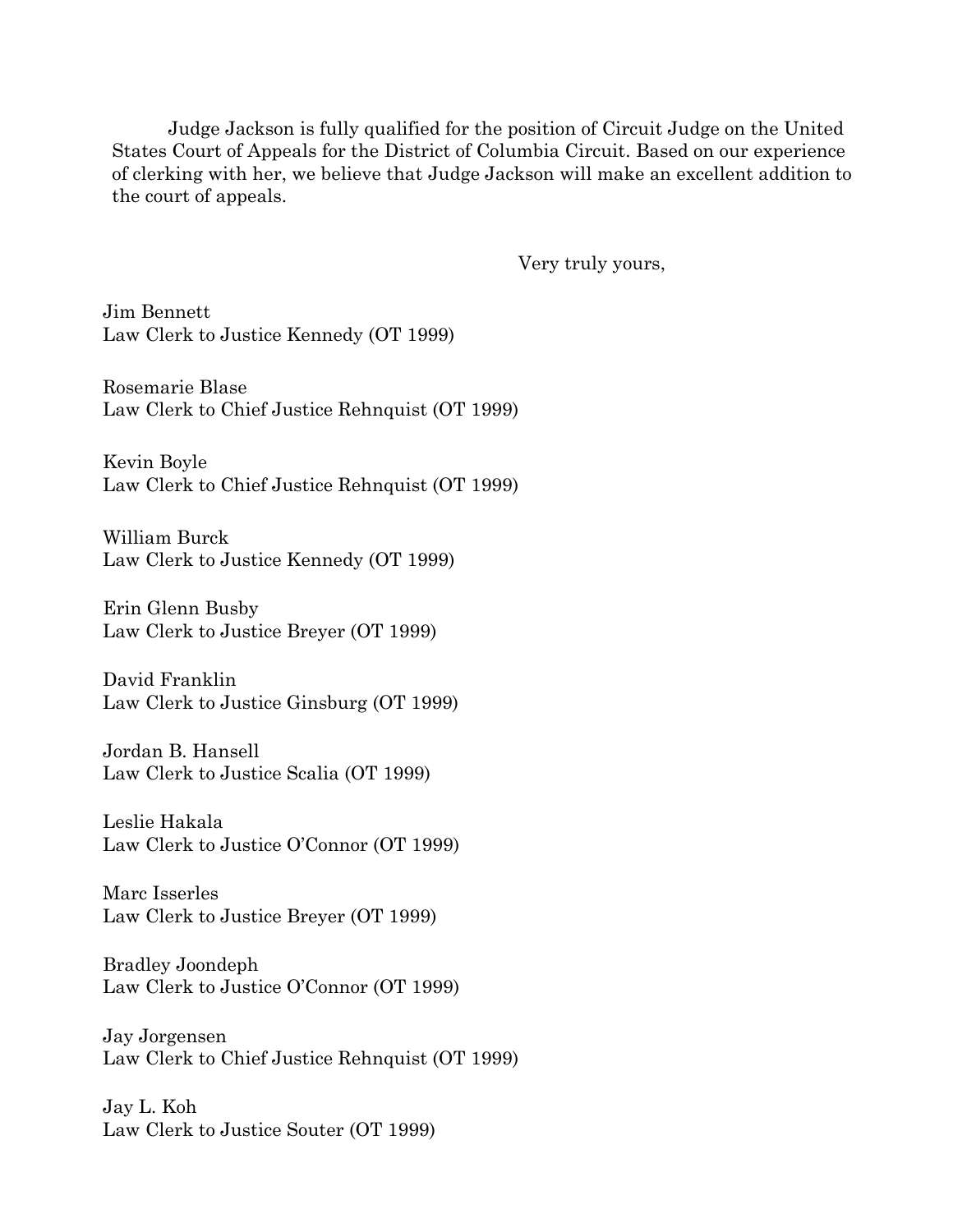Judge Jackson is fully qualified for the position of Circuit Judge on the United States Court of Appeals for the District of Columbia Circuit. Based on our experience of clerking with her, we believe that Judge Jackson will make an excellent addition to the court of appeals.

Very truly yours,

Jim Bennett Law Clerk to Justice Kennedy (OT 1999)

Rosemarie Blase Law Clerk to Chief Justice Rehnquist (OT 1999)

Kevin Boyle Law Clerk to Chief Justice Rehnquist (OT 1999)

William Burck Law Clerk to Justice Kennedy (OT 1999)

Erin Glenn Busby Law Clerk to Justice Breyer (OT 1999)

David Franklin Law Clerk to Justice Ginsburg (OT 1999)

Jordan B. Hansell Law Clerk to Justice Scalia (OT 1999)

Leslie Hakala Law Clerk to Justice O'Connor (OT 1999)

Marc Isserles Law Clerk to Justice Breyer (OT 1999)

Bradley Joondeph Law Clerk to Justice O'Connor (OT 1999)

Jay Jorgensen Law Clerk to Chief Justice Rehnquist (OT 1999)

Jay L. Koh Law Clerk to Justice Souter (OT 1999)